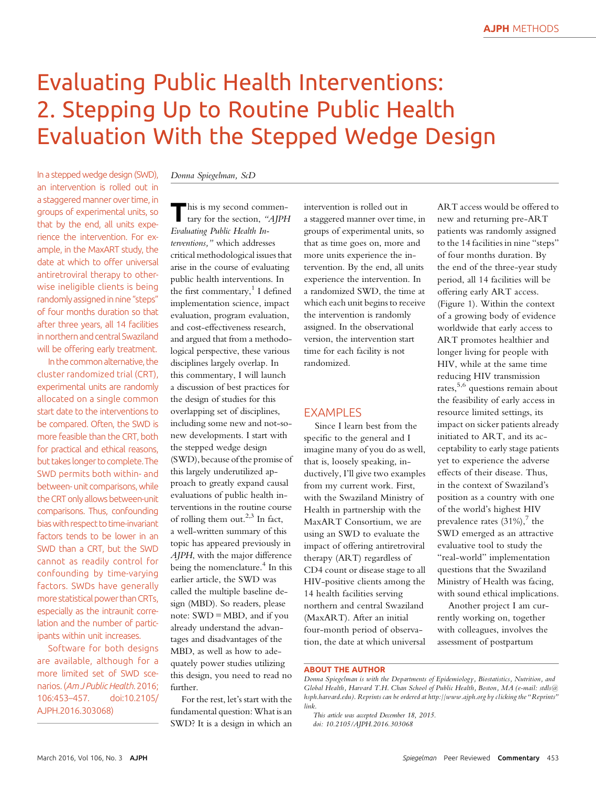# Evaluating Public Health Interventions: 2. Stepping Up to Routine Public Health Evaluation With the Stepped Wedge Design

In a stepped wedge design (SWD), an intervention is rolled out in a staggered manner over time, in groups of experimental units, so that by the end, all units experience the intervention. For example, in the MaxART study, the date at which to offer universal antiretroviral therapy to otherwise ineligible clients is being randomly assigned in nine"steps" of four months duration so that after three years, all 14 facilities in northern and central Swaziland will be offering early treatment.

In the common alternative, the cluster randomized trial (CRT), experimental units are randomly allocated on a single common start date to the interventions to be compared. Often, the SWD is more feasible than the CRT, both for practical and ethical reasons, but takes longer to complete.The SWD permits both within- and between- unit comparisons, while the CRT only allows between-unit comparisons. Thus, confounding biaswith respect to time-invariant factors tends to be lower in an SWD than a CRT, but the SWD cannot as readily control for confounding by time-varying factors. SWDs have generally more statistical power than CRTs, especially as the intraunit correlation and the number of participants within unit increases.

Software for both designs are available, although for a more limited set of SWD scenarios. (Am J Public Health. 2016;<br>106:453–457. doi:10.2105/ 106:453-457. AJPH.2016.303068)

### Donna Spiegelman, ScD

 $\blacksquare$  his is my second commentary for the section, "AJPH Evaluating Public Health Interventions," which addresses critical methodological issues that arise in the course of evaluating public health interventions. In the first commentary, $1$  I defined implementation science, impact evaluation, program evaluation, and cost-effectiveness research, and argued that from a methodological perspective, these various disciplines largely overlap. In this commentary, I will launch a discussion of best practices for the design of studies for this overlapping set of disciplines, including some new and not-sonew developments. I start with the stepped wedge design (SWD), because of the promise of this largely underutilized approach to greatly expand causal evaluations of public health interventions in the routine course of rolling them out.<sup>2,3</sup> In fact, a well-written summary of this topic has appeared previously in AJPH, with the major difference being the nomenclature.<sup>4</sup> In this earlier article, the SWD was called the multiple baseline design (MBD). So readers, please note: SWD = MBD, and if you already understand the advantages and disadvantages of the MBD, as well as how to adequately power studies utilizing this design, you need to read no further.

For the rest, let's start with the fundamental question:What is an SWD? It is a design in which an

intervention is rolled out in a staggered manner over time, in groups of experimental units, so that as time goes on, more and more units experience the intervention. By the end, all units experience the intervention. In a randomized SWD, the time at which each unit begins to receive the intervention is randomly assigned. In the observational version, the intervention start time for each facility is not randomized.

#### **FXAMPLES**

Since I learn best from the specific to the general and I imagine many of you do as well, that is, loosely speaking, inductively, I'll give two examples from my current work. First, with the Swaziland Ministry of Health in partnership with the MaxART Consortium, we are using an SWD to evaluate the impact of offering antiretroviral therapy (ART) regardless of CD4 count or disease stage to all HIV-positive clients among the 14 health facilities serving northern and central Swaziland (MaxART). After an initial four-month period of observation, the date at which universal

ART access would be offered to new and returning pre-ART patients was randomly assigned to the 14 facilities in nine "steps" of four months duration. By the end of the three-year study period, all 14 facilities will be offering early ART access. (Figure 1). Within the context of a growing body of evidence worldwide that early access to ART promotes healthier and longer living for people with HIV, while at the same time reducing HIV transmission rates,<sup>5,6</sup> questions remain about the feasibility of early access in resource limited settings, its impact on sicker patients already initiated to ART, and its acceptability to early stage patients yet to experience the adverse effects of their disease. Thus, in the context of Swaziland's position as a country with one of the world's highest HIV prevalence rates  $(31\%)$ , the SWD emerged as an attractive evaluative tool to study the "real-world" implementation questions that the Swaziland Ministry of Health was facing, with sound ethical implications.

Another project I am currently working on, together with colleagues, involves the assessment of postpartum

ABOUT THE AUTHOR

Donna Spiegelman is with the Departments of Epidemiology, Biostatistics, Nutrition, and Global Health, Harvard T.H. Chan School of Public Health, Boston, MA (e-mail: [stdls@](mailto:stdls@hsph.harvard.edu) [hsph.harvard.edu](mailto:stdls@hsph.harvard.edu)). Reprints can be ordered at<http://www.ajph.org> by clicking the "Reprints" link.

This article was accepted December 18, 2015. doi: 10.2105/AJPH.2016.303068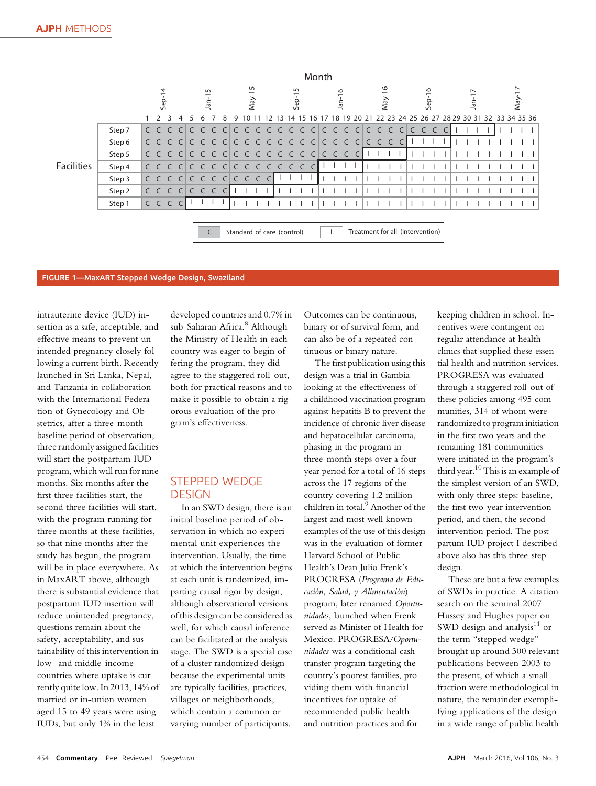|                   |        | Month                  |  |         |              |  |         |                |           |   |          |     |  |                                     |   |    |              |  |  |                      |                                                          |  |                           |  |  |         |  |  |  |  |  |  |  |  |
|-------------------|--------|------------------------|--|---------|--------------|--|---------|----------------|-----------|---|----------|-----|--|-------------------------------------|---|----|--------------|--|--|----------------------|----------------------------------------------------------|--|---------------------------|--|--|---------|--|--|--|--|--|--|--|--|
|                   |        | $\overline{4}$<br>Sep- |  |         | 5<br>$Jan-1$ |  |         | $May-15$       |           |   | $Sep-15$ |     |  | O<br>$Jan-1$                        |   |    | ৩<br>$May-1$ |  |  | $-16$<br><b>Sep-</b> |                                                          |  | $\overline{ }$<br>$Jan-1$ |  |  | $May-1$ |  |  |  |  |  |  |  |  |
|                   |        |                        |  |         |              |  |         |                |           | q |          |     |  | 4                                   | 5 | 16 |              |  |  |                      | 18 19 20 21 22 23 24 25 26 27 28 29 30 31 32 33 34 35 36 |  |                           |  |  |         |  |  |  |  |  |  |  |  |
| <b>Facilities</b> | Step 7 |                        |  |         |              |  |         |                |           |   |          |     |  |                                     |   |    |              |  |  |                      |                                                          |  |                           |  |  |         |  |  |  |  |  |  |  |  |
|                   | Step 6 |                        |  | C C C C |              |  |         |                |           |   |          |     |  | c c c c c c c c c c c c c c c c c l |   |    |              |  |  |                      | CCC                                                      |  | C                         |  |  |         |  |  |  |  |  |  |  |  |
|                   | Step 5 |                        |  |         |              |  |         |                |           |   |          |     |  |                                     |   |    |              |  |  |                      |                                                          |  |                           |  |  |         |  |  |  |  |  |  |  |  |
|                   | Step 4 |                        |  |         |              |  |         |                |           |   |          |     |  | c c c clc c c clc c c clc c c       |   | C  |              |  |  |                      |                                                          |  |                           |  |  |         |  |  |  |  |  |  |  |  |
|                   | Step 3 |                        |  | CCC     | $\subset$    |  |         | C C C C        |           |   |          | CCC |  |                                     |   |    |              |  |  |                      |                                                          |  |                           |  |  |         |  |  |  |  |  |  |  |  |
|                   | Step 2 |                        |  | C C C   | C            |  | $C$ $C$ | $\overline{C}$ | $\subset$ |   |          |     |  |                                     |   |    |              |  |  |                      |                                                          |  |                           |  |  |         |  |  |  |  |  |  |  |  |
|                   | Step 1 |                        |  | CCC     |              |  |         |                |           |   |          |     |  |                                     |   |    |              |  |  |                      |                                                          |  |                           |  |  |         |  |  |  |  |  |  |  |  |
|                   |        |                        |  |         |              |  |         |                |           |   |          |     |  | Standard of care (control)          |   |    |              |  |  |                      | Treatment for all (intervention)                         |  |                           |  |  |         |  |  |  |  |  |  |  |  |

#### FIGURE 1—MaxART Stepped Wedge Design, Swaziland

intrauterine device (IUD) insertion as a safe, acceptable, and effective means to prevent unintended pregnancy closely following a current birth. Recently launched in Sri Lanka, Nepal, and Tanzania in collaboration with the International Federation of Gynecology and Obstetrics, after a three-month baseline period of observation, three randomly assigned facilities will start the postpartum IUD program, which will run for nine months. Six months after the first three facilities start, the second three facilities will start, with the program running for three months at these facilities, so that nine months after the study has begun, the program will be in place everywhere. As in MaxART above, although there is substantial evidence that postpartum IUD insertion will reduce unintended pregnancy, questions remain about the safety, acceptability, and sustainability of this intervention in low- and middle-income countries where uptake is currently quite low. In 2013, 14% of married or in-union women aged 15 to 49 years were using IUDs, but only 1% in the least

developed countries and 0.7% in sub-Saharan Africa.<sup>8</sup> Although the Ministry of Health in each country was eager to begin offering the program, they did agree to the staggered roll-out, both for practical reasons and to make it possible to obtain a rigorous evaluation of the program's effectiveness.

# STEPPED WEDGE **DESIGN**

In an SWD design, there is an initial baseline period of observation in which no experimental unit experiences the intervention. Usually, the time at which the intervention begins at each unit is randomized, imparting causal rigor by design, although observational versions of this design can be considered as well, for which causal inference can be facilitated at the analysis stage. The SWD is a special case of a cluster randomized design because the experimental units are typically facilities, practices, villages or neighborhoods, which contain a common or varying number of participants.

Outcomes can be continuous, binary or of survival form, and can also be of a repeated continuous or binary nature.

The first publication using this design was a trial in Gambia looking at the effectiveness of a childhood vaccination program against hepatitis B to prevent the incidence of chronic liver disease and hepatocellular carcinoma, phasing in the program in three-month steps over a fouryear period for a total of 16 steps across the 17 regions of the country covering 1.2 million children in total.<sup>9</sup> Another of the largest and most well known examples of the use of this design was in the evaluation of former Harvard School of Public Health's Dean Julio Frenk's PROGRESA (Programa de Educación, Salud, y Alimentación) program, later renamed Oportunidades, launched when Frenk served as Minister of Health for Mexico. PROGRESA/Oportunidades was a conditional cash transfer program targeting the country's poorest families, providing them with financial incentives for uptake of recommended public health and nutrition practices and for

keeping children in school. Incentives were contingent on regular attendance at health clinics that supplied these essential health and nutrition services. PROGRESA was evaluated through a staggered roll-out of these policies among 495 communities, 314 of whom were randomized to program initiation in the first two years and the remaining 181 communities were initiated in the program's third year.<sup>10</sup> This is an example of the simplest version of an SWD, with only three steps: baseline, the first two-year intervention period, and then, the second intervention period. The postpartum IUD project I described above also has this three-step design.

These are but a few examples of SWDs in practice. A citation search on the seminal 2007 Hussey and Hughes paper on SWD design and analysis $11$  or the term "stepped wedge" brought up around 300 relevant publications between 2003 to the present, of which a small fraction were methodological in nature, the remainder exemplifying applications of the design in a wide range of public health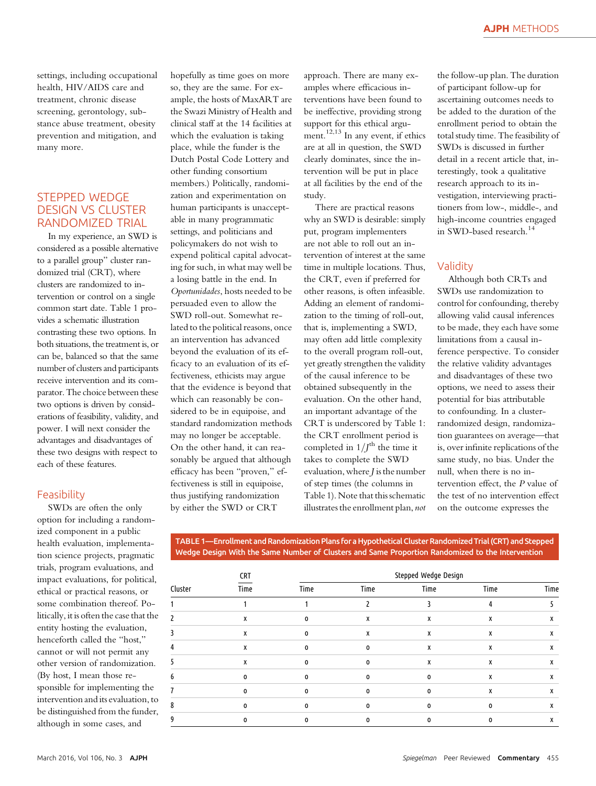settings, including occupational health, HIV/AIDS care and treatment, chronic disease screening, gerontology, substance abuse treatment, obesity prevention and mitigation, and many more.

# STEPPED WEDGE DESIGN VS CLUSTER RANDOMIZED TRIAL

In my experience, an SWD is considered as a possible alternative to a parallel group" cluster randomized trial (CRT), where clusters are randomized to intervention or control on a single common start date. Table 1 provides a schematic illustration contrasting these two options. In both situations, the treatment is, or can be, balanced so that the same number of clusters and participants receive intervention and its comparator. The choice between these two options is driven by considerations of feasibility, validity, and power. I will next consider the advantages and disadvantages of these two designs with respect to each of these features.

#### Feasibility

SWDs are often the only option for including a randomized component in a public health evaluation, implementation science projects, pragmatic trials, program evaluations, and impact evaluations, for political, ethical or practical reasons, or some combination thereof. Politically, it is often the case that the entity hosting the evaluation, henceforth called the "host," cannot or will not permit any other version of randomization. (By host, I mean those responsible for implementing the intervention and its evaluation, to be distinguished from the funder, although in some cases, and

hopefully as time goes on more so, they are the same. For example, the hosts of MaxART are the Swazi Ministry of Health and clinical staff at the 14 facilities at which the evaluation is taking place, while the funder is the Dutch Postal Code Lottery and other funding consortium members.) Politically, randomization and experimentation on human participants is unacceptable in many programmatic settings, and politicians and policymakers do not wish to expend political capital advocating for such, in what may well be a losing battle in the end. In Oportunidades, hosts needed to be persuaded even to allow the SWD roll-out. Somewhat related to the political reasons, once an intervention has advanced beyond the evaluation of its efficacy to an evaluation of its effectiveness, ethicists may argue that the evidence is beyond that which can reasonably be considered to be in equipoise, and standard randomization methods may no longer be acceptable. On the other hand, it can reasonably be argued that although efficacy has been "proven," effectiveness is still in equipoise, thus justifying randomization by either the SWD or CRT

approach. There are many examples where efficacious interventions have been found to be ineffective, providing strong support for this ethical argument.<sup>12,13</sup> In any event, if ethics are at all in question, the SWD clearly dominates, since the intervention will be put in place at all facilities by the end of the study.

There are practical reasons why an SWD is desirable: simply put, program implementers are not able to roll out an intervention of interest at the same time in multiple locations. Thus, the CRT, even if preferred for other reasons, is often infeasible. Adding an element of randomization to the timing of roll-out, that is, implementing a SWD, may often add little complexity to the overall program roll-out, yet greatly strengthen the validity of the causal inference to be obtained subsequently in the evaluation. On the other hand, an important advantage of the CRT is underscored by Table 1: the CRT enrollment period is completed in  $1/J^{\text{th}}$  the time it takes to complete the SWD evaluation, where J is the number of step times (the columns in Table 1). Note that this schematic illustrates the enrollment plan, not the follow-up plan. The duration of participant follow-up for ascertaining outcomes needs to be added to the duration of the enrollment period to obtain the total study time. The feasibility of SWDs is discussed in further detail in a recent article that, interestingly, took a qualitative research approach to its investigation, interviewing practitioners from low-, middle-, and high-income countries engaged in SWD-based research.<sup>14</sup>

## Validity

Although both CRTs and SWDs use randomization to control for confounding, thereby allowing valid causal inferences to be made, they each have some limitations from a causal inference perspective. To consider the relative validity advantages and disadvantages of these two options, we need to assess their potential for bias attributable to confounding. In a clusterrandomized design, randomization guarantees on average—that is, over infinite replications of the same study, no bias. Under the null, when there is no intervention effect, the P value of the test of no intervention effect on the outcome expresses the

TABLE 1—Enrollment and Randomization Plans for a Hypothetical Cluster Randomized Trial (CRT) and Stepped Wedge Design With the Same Number of Clusters and Same Proportion Randomized to the Intervention

|         | <b>CRT</b> | Stepped Wedge Design |             |          |      |      |  |  |  |  |  |  |  |  |  |
|---------|------------|----------------------|-------------|----------|------|------|--|--|--|--|--|--|--|--|--|
| Cluster | Time       | Time                 | Time        | Time     | Time | Time |  |  |  |  |  |  |  |  |  |
|         |            |                      |             |          | 4    |      |  |  |  |  |  |  |  |  |  |
|         | χ          | 0                    | x           | х        | Χ    | х    |  |  |  |  |  |  |  |  |  |
|         | X          | 0                    | X           | х        | х    | х    |  |  |  |  |  |  |  |  |  |
| 4       | X          | 0                    | $\mathbf 0$ | х        | х    | х    |  |  |  |  |  |  |  |  |  |
|         | X          | 0                    | $\mathbf 0$ | X        | х    | х    |  |  |  |  |  |  |  |  |  |
| 6       | 0          | O                    | 0           | 0        | Χ    | х    |  |  |  |  |  |  |  |  |  |
|         | $\Omega$   | O                    | $\Omega$    | $\Omega$ | X    | х    |  |  |  |  |  |  |  |  |  |
| 8       | 0          | 0                    | 0           | 0        | 0    | х    |  |  |  |  |  |  |  |  |  |
| 9       | 0          | O                    | U           | $\Omega$ | 0    | x    |  |  |  |  |  |  |  |  |  |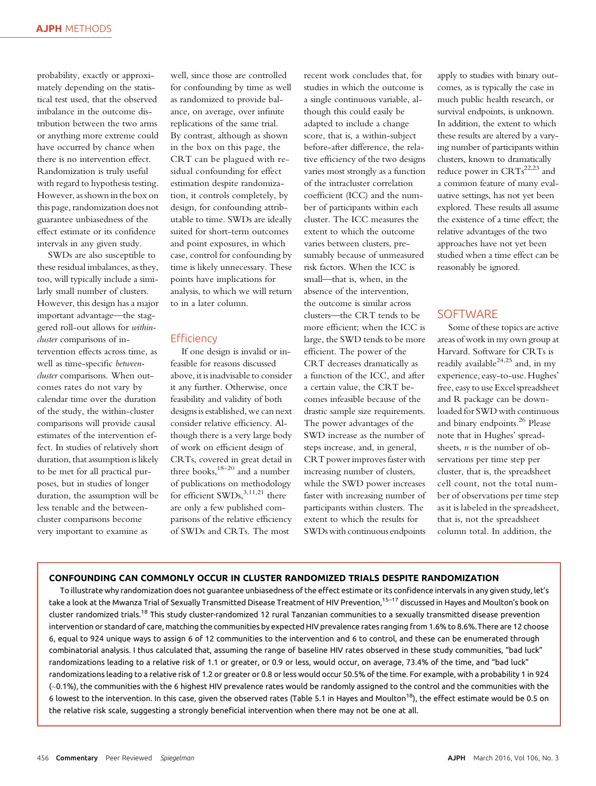probability, exactly or approximately depending on the statistical test used, that the observed imbalance in the outcome distribution between the two arms or anything more extreme could have occurred by chance when there is no intervention effect. Randomization is truly useful with regard to hypothesis testing. However, as shown in the box on this page, randomization does not guarantee unbiasedness of the effect estimate or its confidence intervals in any given study.

SWDs are also susceptible to these residual imbalances, as they, too, will typically include a similarly small number of clusters. However, this design has a major important advantage—the staggered roll-out allows for withincluster comparisons of intervention effects across time, as well as time-specific betweencluster comparisons. When outcomes rates do not vary by calendar time over the duration of the study, the within-cluster comparisons will provide causal estimates of the intervention effect. In studies of relatively short duration, that assumption is likely to be met for all practical purposes, but in studies of longer duration, the assumption will be less tenable and the betweencluster comparisons become very important to examine as

well, since those are controlled for confounding by time as well as randomized to provide balance, on average, over infinite replications of the same trial. By contrast, although as shown in the box on this page, the CRT can be plagued with residual confounding for effect estimation despite randomization, it controls completely, by design, for confounding attributable to time. SWDs are ideally suited for short-term outcomes and point exposures, in which case, control for confounding by time is likely unnecessary. These points have implications for analysis, to which we will return to in a later column.

#### **Efficiency**

If one design is invalid or infeasible for reasons discussed above, it is inadvisable to consider it any further. Otherwise, once feasibility and validity of both designs is established, we can next consider relative efficiency. Although there is a very large body of work on efficient design of CRTs, covered in great detail in three books, $18-20$  and a number of publications on methodology for efficient SWDs, 3,11,21 there are only a few published comparisons of the relative efficiency of SWDs and CRTs. The most

recent work concludes that, for studies in which the outcome is a single continuous variable, although this could easily be adapted to include a change score, that is, a within-subject before-after difference, the relative efficiency of the two designs varies most strongly as a function of the intracluster correlation coefficient (ICC) and the number of participants within each cluster. The ICC measures the extent to which the outcome varies between clusters, presumably because of unmeasured risk factors. When the ICC is small—that is, when, in the absence of the intervention, the outcome is similar across clusters—the CRT tends to be more efficient; when the ICC is large, the SWD tends to be more efficient. The power of the CRT decreases dramatically as a function of the ICC, and after a certain value, the CRT becomes infeasible because of the drastic sample size requirements. The power advantages of the SWD increase as the number of steps increase, and, in general, CRT power improves faster with increasing number of clusters, while the SWD power increases faster with increasing number of participants within clusters. The extent to which the results for SWDs with continuous endpoints

apply to studies with binary outcomes, as is typically the case in much public health research, or survival endpoints, is unknown. In addition, the extent to which these results are altered by a varying number of participants within clusters, known to dramatically reduce power in  $CRTs^{22,23}$  and a common feature of many evaluative settings, has not yet been explored. These results all assume the existence of a time effect; the relative advantages of the two approaches have not yet been studied when a time effect can be reasonably be ignored.

## **SOFTWARE**

Some of these topics are active areas of work in my own group at Harvard. Software for CRTs is readily available<sup>24,25</sup> and, in my experience, easy-to-use. Hughes' free, easy to use Excel spreadsheet and R package can be downloaded for SWD with continuous and binary endpoints.<sup>26</sup> Please note that in Hughes' spreadsheets, n is the number of observations per time step per cluster, that is, the spreadsheet cell count, not the total number of observations per time step as it is labeled in the spreadsheet, that is, not the spreadsheet column total. In addition, the

### CONFOUNDING CAN COMMONLY OCCUR IN CLUSTER RANDOMIZED TRIALS DESPITE RANDOMIZATION

To illustrate why randomization does not guarantee unbiasedness of the effect estimate or its confidence intervals in any given study, let's take a look at the Mwanza Trial of Sexually Transmitted Disease Treatment of HIV Prevention,<sup>15–17</sup> discussed in Hayes and Moulton's book on cluster randomized trials.<sup>18</sup> This study cluster-randomized 12 rural Tanzanian communities to a sexually transmitted disease prevention intervention or standard of care, matching the communities by expected HIV prevalence rates ranging from 1.6% to 8.6%.There are 12 choose 6, equal to 924 unique ways to assign 6 of 12 communities to the intervention and 6 to control, and these can be enumerated through combinatorial analysis. I thus calculated that, assuming the range of baseline HIV rates observed in these study communities, "bad luck" randomizations leading to a relative risk of 1.1 or greater, or 0.9 or less, would occur, on average, 73.4% of the time, and "bad luck" randomizations leading to a relative risk of 1.2 or greater or 0.8 or less would occur 50.5% of the time. For example, with a probability 1 in 924 (~0.1%), the communities with the 6 highest HIV prevalence rates would be randomly assigned to the control and the communities with the 6 lowest to the intervention. In this case, given the observed rates (Table 5.1 in Hayes and Moulton<sup>18</sup>), the effect estimate would be 0.5 on the relative risk scale, suggesting a strongly beneficial intervention when there may not be one at all.